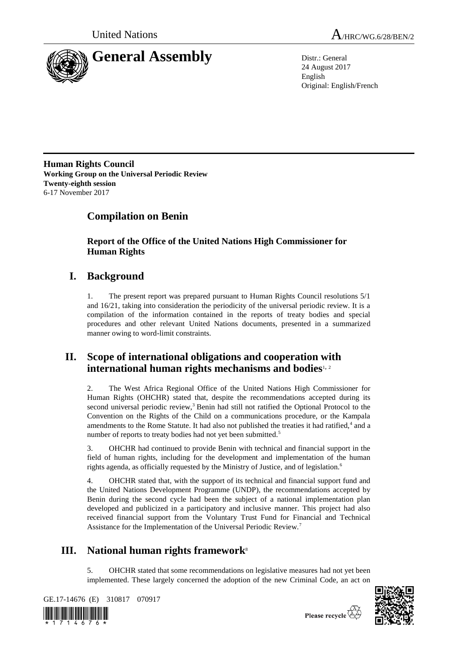



24 August 2017 English Original: English/French

**Human Rights Council Working Group on the Universal Periodic Review Twenty-eighth session** 6-17 November 2017

# **Compilation on Benin**

**Report of the Office of the United Nations High Commissioner for Human Rights**

# **I. Background**

1. The present report was prepared pursuant to Human Rights Council resolutions 5/1 and 16/21, taking into consideration the periodicity of the universal periodic review. It is a compilation of the information contained in the reports of treaty bodies and special procedures and other relevant United Nations documents, presented in a summarized manner owing to word-limit constraints.

# **II. Scope of international obligations and cooperation with international human rights mechanisms and bodies**1, <sup>2</sup>

2. The West Africa Regional Office of the United Nations High Commissioner for Human Rights (OHCHR) stated that, despite the recommendations accepted during its second universal periodic review,<sup>3</sup> Benin had still not ratified the Optional Protocol to the Convention on the Rights of the Child on a communications procedure, or the Kampala amendments to the Rome Statute. It had also not published the treaties it had ratified,<sup>4</sup> and a number of reports to treaty bodies had not yet been submitted.<sup>5</sup>

3. OHCHR had continued to provide Benin with technical and financial support in the field of human rights, including for the development and implementation of the human rights agenda, as officially requested by the Ministry of Justice, and of legislation.<sup>6</sup>

4. OHCHR stated that, with the support of its technical and financial support fund and the United Nations Development Programme (UNDP), the recommendations accepted by Benin during the second cycle had been the subject of a national implementation plan developed and publicized in a participatory and inclusive manner. This project had also received financial support from the Voluntary Trust Fund for Financial and Technical Assistance for the Implementation of the Universal Periodic Review.<sup>7</sup>

# **III.** National human rights framework<sup>8</sup>

5. OHCHR stated that some recommendations on legislative measures had not yet been implemented. These largely concerned the adoption of the new Criminal Code, an act on

GE.17-14676 (E) 310817 070917





Please recycle  $\overleftrightarrow{C}$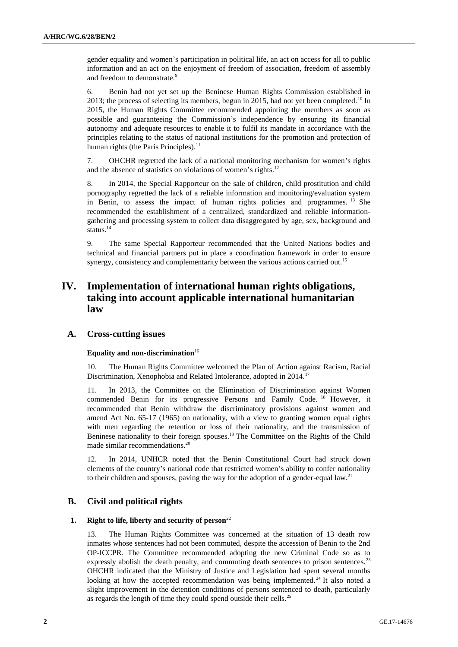gender equality and women's participation in political life, an act on access for all to public information and an act on the enjoyment of freedom of association, freedom of assembly and freedom to demonstrate.<sup>9</sup>

6. Benin had not yet set up the Beninese Human Rights Commission established in 2013; the process of selecting its members, begun in 2015, had not yet been completed.<sup>10</sup> In 2015, the Human Rights Committee recommended appointing the members as soon as possible and guaranteeing the Commission's independence by ensuring its financial autonomy and adequate resources to enable it to fulfil its mandate in accordance with the principles relating to the status of national institutions for the promotion and protection of human rights (the Paris Principles). $<sup>11</sup>$ </sup>

7. OHCHR regretted the lack of a national monitoring mechanism for women's rights and the absence of statistics on violations of women's rights.<sup>12</sup>

8. In 2014, the Special Rapporteur on the sale of children, child prostitution and child pornography regretted the lack of a reliable information and monitoring/evaluation system in Benin, to assess the impact of human rights policies and programmes. <sup>13</sup> She recommended the establishment of a centralized, standardized and reliable informationgathering and processing system to collect data disaggregated by age, sex, background and status. $14$ 

9. The same Special Rapporteur recommended that the United Nations bodies and technical and financial partners put in place a coordination framework in order to ensure synergy, consistency and complementarity between the various actions carried out.<sup>15</sup>

# **IV. Implementation of international human rights obligations, taking into account applicable international humanitarian law**

## **A. Cross-cutting issues**

### Equality and non-discrimination<sup>16</sup>

10. The Human Rights Committee welcomed the Plan of Action against Racism, Racial Discrimination, Xenophobia and Related Intolerance, adopted in 2014.<sup>17</sup>

In 2013, the Committee on the Elimination of Discrimination against Women commended Benin for its progressive Persons and Family Code. <sup>18</sup> However, it recommended that Benin withdraw the discriminatory provisions against women and amend Act No. 65-17 (1965) on nationality, with a view to granting women equal rights with men regarding the retention or loss of their nationality, and the transmission of Beninese nationality to their foreign spouses.<sup>19</sup> The Committee on the Rights of the Child made similar recommendations.<sup>20</sup>

12. In 2014, UNHCR noted that the Benin Constitutional Court had struck down elements of the country's national code that restricted women's ability to confer nationality to their children and spouses, paving the way for the adoption of a gender-equal law.<sup>21</sup>

## **B. Civil and political rights**

### **1. Right to life, liberty and security of person**<sup>22</sup>

13. The Human Rights Committee was concerned at the situation of 13 death row inmates whose sentences had not been commuted, despite the accession of Benin to the 2nd OP-ICCPR. The Committee recommended adopting the new Criminal Code so as to expressly abolish the death penalty, and commuting death sentences to prison sentences.<sup>23</sup> OHCHR indicated that the Ministry of Justice and Legislation had spent several months looking at how the accepted recommendation was being implemented.<sup>24</sup> It also noted a slight improvement in the detention conditions of persons sentenced to death, particularly as regards the length of time they could spend outside their cells.<sup>25</sup>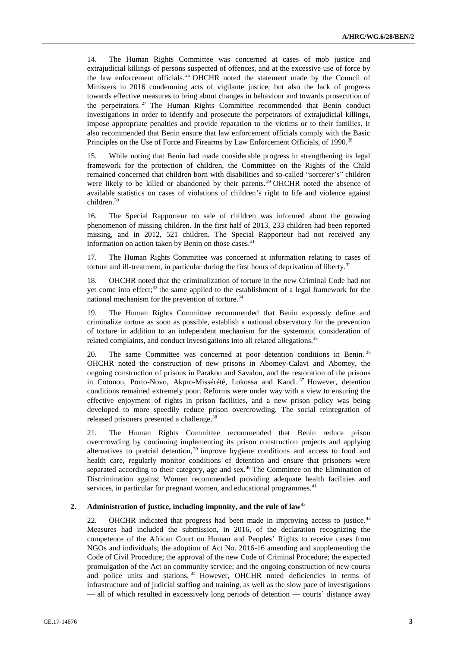14. The Human Rights Committee was concerned at cases of mob justice and extrajudicial killings of persons suspected of offences, and at the excessive use of force by the law enforcement officials.<sup>26</sup> OHCHR noted the statement made by the Council of Ministers in 2016 condemning acts of vigilante justice, but also the lack of progress towards effective measures to bring about changes in behaviour and towards prosecution of the perpetrators.<sup>27</sup> The Human Rights Committee recommended that Benin conduct investigations in order to identify and prosecute the perpetrators of extrajudicial killings, impose appropriate penalties and provide reparation to the victims or to their families. It also recommended that Benin ensure that law enforcement officials comply with the Basic Principles on the Use of Force and Firearms by Law Enforcement Officials, of 1990.<sup>28</sup>

15. While noting that Benin had made considerable progress in strengthening its legal framework for the protection of children, the Committee on the Rights of the Child remained concerned that children born with disabilities and so-called "sorcerer's" children were likely to be killed or abandoned by their parents.<sup>29</sup> OHCHR noted the absence of available statistics on cases of violations of children's right to life and violence against children.<sup>30</sup>

16. The Special Rapporteur on sale of children was informed about the growing phenomenon of missing children. In the first half of 2013, 233 children had been reported missing, and in 2012, 521 children. The Special Rapporteur had not received any information on action taken by Benin on those cases. $31$ 

17. The Human Rights Committee was concerned at information relating to cases of torture and ill-treatment, in particular during the first hours of deprivation of liberty.<sup>32</sup>

18. OHCHR noted that the criminalization of torture in the new Criminal Code had not yet come into effect;<sup>33</sup> the same applied to the establishment of a legal framework for the national mechanism for the prevention of torture.<sup>34</sup>

19. The Human Rights Committee recommended that Benin expressly define and criminalize torture as soon as possible, establish a national observatory for the prevention of torture in addition to an independent mechanism for the systematic consideration of related complaints, and conduct investigations into all related allegations.<sup>35</sup>

20. The same Committee was concerned at poor detention conditions in Benin. <sup>36</sup> OHCHR noted the construction of new prisons in Abomey-Calavi and Abomey, the ongoing construction of prisons in Parakou and Savalou, and the restoration of the prisons in Cotonou, Porto-Novo, Akpro-Missérété, Lokossa and Kandi.<sup>37</sup> However, detention conditions remained extremely poor. Reforms were under way with a view to ensuring the effective enjoyment of rights in prison facilities, and a new prison policy was being developed to more speedily reduce prison overcrowding. The social reintegration of released prisoners presented a challenge.<sup>38</sup>

21. The Human Rights Committee recommended that Benin reduce prison overcrowding by continuing implementing its prison construction projects and applying alternatives to pretrial detention,  $39$  improve hygiene conditions and access to food and health care, regularly monitor conditions of detention and ensure that prisoners were separated according to their category, age and sex.<sup>40</sup> The Committee on the Elimination of Discrimination against Women recommended providing adequate health facilities and services, in particular for pregnant women, and educational programmes.<sup>41</sup>

#### **2. Administration of justice, including impunity, and the rule of law**<sup>42</sup>

22. OHCHR indicated that progress had been made in improving access to justice.<sup>43</sup> Measures had included the submission, in 2016, of the declaration recognizing the competence of the African Court on Human and Peoples' Rights to receive cases from NGOs and individuals; the adoption of Act No. 2016-16 amending and supplementing the Code of Civil Procedure; the approval of the new Code of Criminal Procedure; the expected promulgation of the Act on community service; and the ongoing construction of new courts and police units and stations.<sup>44</sup> However, OHCHR noted deficiencies in terms of infrastructure and of judicial staffing and training, as well as the slow pace of investigations — all of which resulted in excessively long periods of detention — courts' distance away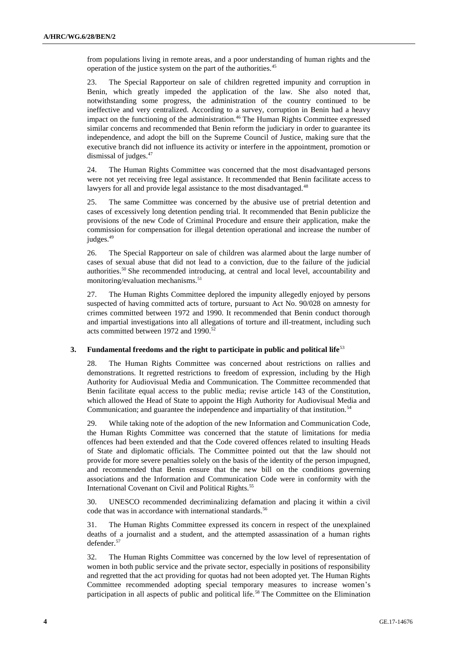from populations living in remote areas, and a poor understanding of human rights and the operation of the justice system on the part of the authorities.<sup>45</sup>

23. The Special Rapporteur on sale of children regretted impunity and corruption in Benin, which greatly impeded the application of the law. She also noted that, notwithstanding some progress, the administration of the country continued to be ineffective and very centralized. According to a survey, corruption in Benin had a heavy impact on the functioning of the administration.<sup>46</sup> The Human Rights Committee expressed similar concerns and recommended that Benin reform the judiciary in order to guarantee its independence, and adopt the bill on the Supreme Council of Justice, making sure that the executive branch did not influence its activity or interfere in the appointment, promotion or dismissal of judges.<sup>47</sup>

24. The Human Rights Committee was concerned that the most disadvantaged persons were not yet receiving free legal assistance. It recommended that Benin facilitate access to lawyers for all and provide legal assistance to the most disadvantaged.<sup>48</sup>

25. The same Committee was concerned by the abusive use of pretrial detention and cases of excessively long detention pending trial. It recommended that Benin publicize the provisions of the new Code of Criminal Procedure and ensure their application, make the commission for compensation for illegal detention operational and increase the number of judges.<sup>49</sup>

26. The Special Rapporteur on sale of children was alarmed about the large number of cases of sexual abuse that did not lead to a conviction, due to the failure of the judicial authorities.<sup>50</sup> She recommended introducing, at central and local level, accountability and monitoring/evaluation mechanisms.<sup>51</sup>

27. The Human Rights Committee deplored the impunity allegedly enjoyed by persons suspected of having committed acts of torture, pursuant to Act No. 90/028 on amnesty for crimes committed between 1972 and 1990. It recommended that Benin conduct thorough and impartial investigations into all allegations of torture and ill-treatment, including such acts committed between 1972 and 1990.<sup>52</sup>

### **3. Fundamental freedoms and the right to participate in public and political life**<sup>53</sup>

28. The Human Rights Committee was concerned about restrictions on rallies and demonstrations. It regretted restrictions to freedom of expression, including by the High Authority for Audiovisual Media and Communication. The Committee recommended that Benin facilitate equal access to the public media; revise article 143 of the Constitution, which allowed the Head of State to appoint the High Authority for Audiovisual Media and Communication; and guarantee the independence and impartiality of that institution.<sup>54</sup>

29. While taking note of the adoption of the new Information and Communication Code, the Human Rights Committee was concerned that the statute of limitations for media offences had been extended and that the Code covered offences related to insulting Heads of State and diplomatic officials. The Committee pointed out that the law should not provide for more severe penalties solely on the basis of the identity of the person impugned, and recommended that Benin ensure that the new bill on the conditions governing associations and the Information and Communication Code were in conformity with the International Covenant on Civil and Political Rights.<sup>55</sup>

30. UNESCO recommended decriminalizing defamation and placing it within a civil code that was in accordance with international standards.<sup>56</sup>

31. The Human Rights Committee expressed its concern in respect of the unexplained deaths of a journalist and a student, and the attempted assassination of a human rights defender.<sup>57</sup>

32. The Human Rights Committee was concerned by the low level of representation of women in both public service and the private sector, especially in positions of responsibility and regretted that the act providing for quotas had not been adopted yet. The Human Rights Committee recommended adopting special temporary measures to increase women's participation in all aspects of public and political life.<sup>58</sup> The Committee on the Elimination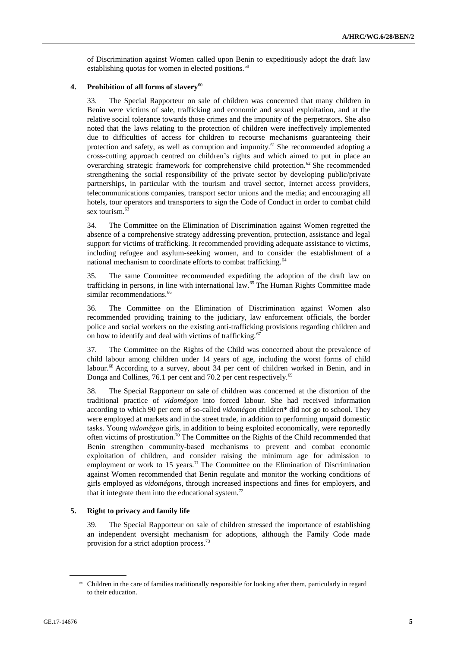of Discrimination against Women called upon Benin to expeditiously adopt the draft law establishing quotas for women in elected positions.<sup>59</sup>

### **4. Prohibition of all forms of slavery**<sup>60</sup>

33. The Special Rapporteur on sale of children was concerned that many children in Benin were victims of sale, trafficking and economic and sexual exploitation, and at the relative social tolerance towards those crimes and the impunity of the perpetrators. She also noted that the laws relating to the protection of children were ineffectively implemented due to difficulties of access for children to recourse mechanisms guaranteeing their protection and safety, as well as corruption and impunity.<sup>61</sup> She recommended adopting a cross-cutting approach centred on children's rights and which aimed to put in place an overarching strategic framework for comprehensive child protection.<sup>62</sup> She recommended strengthening the social responsibility of the private sector by developing public/private partnerships, in particular with the tourism and travel sector, Internet access providers, telecommunications companies, transport sector unions and the media; and encouraging all hotels, tour operators and transporters to sign the Code of Conduct in order to combat child sex tourism.<sup>63</sup>

34. The Committee on the Elimination of Discrimination against Women regretted the absence of a comprehensive strategy addressing prevention, protection, assistance and legal support for victims of trafficking. It recommended providing adequate assistance to victims, including refugee and asylum-seeking women, and to consider the establishment of a national mechanism to coordinate efforts to combat trafficking.<sup>64</sup>

35. The same Committee recommended expediting the adoption of the draft law on trafficking in persons, in line with international law.<sup>65</sup> The Human Rights Committee made similar recommendations.<sup>66</sup>

36. The Committee on the Elimination of Discrimination against Women also recommended providing training to the judiciary, law enforcement officials, the border police and social workers on the existing anti-trafficking provisions regarding children and on how to identify and deal with victims of trafficking.<sup>67</sup>

37. The Committee on the Rights of the Child was concerned about the prevalence of child labour among children under 14 years of age, including the worst forms of child labour.<sup>68</sup> According to a survey, about 34 per cent of children worked in Benin, and in Donga and Collines, 76.1 per cent and 70.2 per cent respectively.<sup>69</sup>

38. The Special Rapporteur on sale of children was concerned at the distortion of the traditional practice of *vidomégon* into forced labour. She had received information according to which 90 per cent of so-called *vidomégon* children\* did not go to school. They were employed at markets and in the street trade, in addition to performing unpaid domestic tasks. Young *vidomégon* girls, in addition to being exploited economically, were reportedly often victims of prostitution.<sup>70</sup> The Committee on the Rights of the Child recommended that Benin strengthen community-based mechanisms to prevent and combat economic exploitation of children, and consider raising the minimum age for admission to employment or work to 15 years.<sup>71</sup> The Committee on the Elimination of Discrimination against Women recommended that Benin regulate and monitor the working conditions of girls employed as *vidomégons*, through increased inspections and fines for employers, and that it integrate them into the educational system.<sup>72</sup>

### **5. Right to privacy and family life**

39. The Special Rapporteur on sale of children stressed the importance of establishing an independent oversight mechanism for adoptions, although the Family Code made provision for a strict adoption process.<sup>73</sup>

<sup>\*</sup> Children in the care of families traditionally responsible for looking after them, particularly in regard to their education.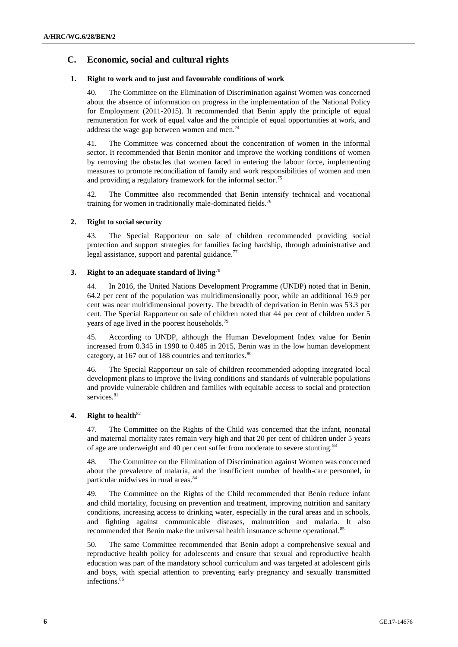## **C. Economic, social and cultural rights**

### **1. Right to work and to just and favourable conditions of work**

40. The Committee on the Elimination of Discrimination against Women was concerned about the absence of information on progress in the implementation of the National Policy for Employment (2011-2015). It recommended that Benin apply the principle of equal remuneration for work of equal value and the principle of equal opportunities at work, and address the wage gap between women and men.<sup>74</sup>

41. The Committee was concerned about the concentration of women in the informal sector. It recommended that Benin monitor and improve the working conditions of women by removing the obstacles that women faced in entering the labour force, implementing measures to promote reconciliation of family and work responsibilities of women and men and providing a regulatory framework for the informal sector.<sup>75</sup>

42. The Committee also recommended that Benin intensify technical and vocational training for women in traditionally male-dominated fields.<sup>76</sup>

### **2. Right to social security**

43. The Special Rapporteur on sale of children recommended providing social protection and support strategies for families facing hardship, through administrative and legal assistance, support and parental guidance. $^{77}$ 

### **3. Right to an adequate standard of living**<sup>78</sup>

44. In 2016, the United Nations Development Programme (UNDP) noted that in Benin, 64.2 per cent of the population was multidimensionally poor, while an additional 16.9 per cent was near multidimensional poverty. The breadth of deprivation in Benin was 53.3 per cent. The Special Rapporteur on sale of children noted that 44 per cent of children under 5 years of age lived in the poorest households.<sup>79</sup>

45. According to UNDP, although the Human Development Index value for Benin increased from 0.345 in 1990 to 0.485 in 2015, Benin was in the low human development category, at 167 out of 188 countries and territories.<sup>80</sup>

46. The Special Rapporteur on sale of children recommended adopting integrated local development plans to improve the living conditions and standards of vulnerable populations and provide vulnerable children and families with equitable access to social and protection services.<sup>81</sup>

### **4. Right to health**<sup>82</sup>

47. The Committee on the Rights of the Child was concerned that the infant, neonatal and maternal mortality rates remain very high and that 20 per cent of children under 5 years of age are underweight and 40 per cent suffer from moderate to severe stunting.<sup>83</sup>

48. The Committee on the Elimination of Discrimination against Women was concerned about the prevalence of malaria, and the insufficient number of health-care personnel, in particular midwives in rural areas.<sup>84</sup>

49. The Committee on the Rights of the Child recommended that Benin reduce infant and child mortality, focusing on prevention and treatment, improving nutrition and sanitary conditions, increasing access to drinking water, especially in the rural areas and in schools, and fighting against communicable diseases, malnutrition and malaria. It also recommended that Benin make the universal health insurance scheme operational.<sup>8</sup>

50. The same Committee recommended that Benin adopt a comprehensive sexual and reproductive health policy for adolescents and ensure that sexual and reproductive health education was part of the mandatory school curriculum and was targeted at adolescent girls and boys, with special attention to preventing early pregnancy and sexually transmitted infections.<sup>86</sup>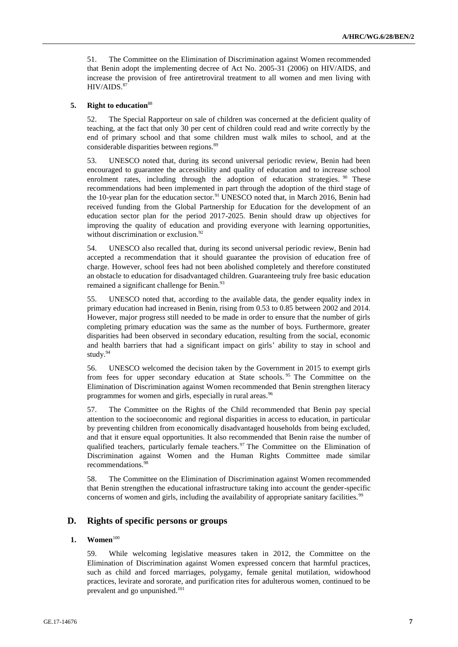51. The Committee on the Elimination of Discrimination against Women recommended that Benin adopt the implementing decree of Act No. 2005-31 (2006) on HIV/AIDS, and increase the provision of free antiretroviral treatment to all women and men living with  $HIV/AIDS.<sup>87</sup>$ 

### **5. Right to education**<sup>88</sup>

52. The Special Rapporteur on sale of children was concerned at the deficient quality of teaching, at the fact that only 30 per cent of children could read and write correctly by the end of primary school and that some children must walk miles to school, and at the considerable disparities between regions.<sup>89</sup>

53. UNESCO noted that, during its second universal periodic review, Benin had been encouraged to guarantee the accessibility and quality of education and to increase school enrolment rates, including through the adoption of education strategies.  $\frac{90}{100}$  These recommendations had been implemented in part through the adoption of the third stage of the 10-year plan for the education sector.<sup>91</sup> UNESCO noted that, in March 2016, Benin had received funding from the Global Partnership for Education for the development of an education sector plan for the period 2017-2025. Benin should draw up objectives for improving the quality of education and providing everyone with learning opportunities, without discrimination or exclusion.<sup>92</sup>

54. UNESCO also recalled that, during its second universal periodic review, Benin had accepted a recommendation that it should guarantee the provision of education free of charge. However, school fees had not been abolished completely and therefore constituted an obstacle to education for disadvantaged children. Guaranteeing truly free basic education remained a significant challenge for Benin.<sup>93</sup>

55. UNESCO noted that, according to the available data, the gender equality index in primary education had increased in Benin, rising from 0.53 to 0.85 between 2002 and 2014. However, major progress still needed to be made in order to ensure that the number of girls completing primary education was the same as the number of boys. Furthermore, greater disparities had been observed in secondary education, resulting from the social, economic and health barriers that had a significant impact on girls' ability to stay in school and study.<sup>94</sup>

56. UNESCO welcomed the decision taken by the Government in 2015 to exempt girls from fees for upper secondary education at State schools.<sup>95</sup> The Committee on the Elimination of Discrimination against Women recommended that Benin strengthen literacy programmes for women and girls, especially in rural areas.<sup>96</sup>

57. The Committee on the Rights of the Child recommended that Benin pay special attention to the socioeconomic and regional disparities in access to education, in particular by preventing children from economically disadvantaged households from being excluded, and that it ensure equal opportunities. It also recommended that Benin raise the number of qualified teachers, particularly female teachers.<sup>97</sup> The Committee on the Elimination of Discrimination against Women and the Human Rights Committee made similar recommendations.<sup>98</sup>

58. The Committee on the Elimination of Discrimination against Women recommended that Benin strengthen the educational infrastructure taking into account the gender-specific concerns of women and girls, including the availability of appropriate sanitary facilities.<sup>99</sup>

## **D. Rights of specific persons or groups**

### **1. Women**<sup>100</sup>

59. While welcoming legislative measures taken in 2012, the Committee on the Elimination of Discrimination against Women expressed concern that harmful practices, such as child and forced marriages, polygamy, female genital mutilation, widowhood practices, levirate and sororate, and purification rites for adulterous women, continued to be prevalent and go unpunished.<sup>101</sup>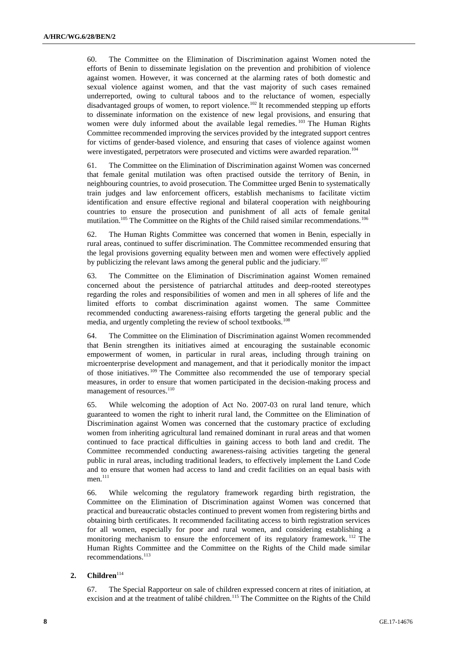60. The Committee on the Elimination of Discrimination against Women noted the efforts of Benin to disseminate legislation on the prevention and prohibition of violence against women. However, it was concerned at the alarming rates of both domestic and sexual violence against women, and that the vast majority of such cases remained underreported, owing to cultural taboos and to the reluctance of women, especially disadvantaged groups of women, to report violence.<sup>102</sup> It recommended stepping up efforts to disseminate information on the existence of new legal provisions, and ensuring that women were duly informed about the available legal remedies.<sup>103</sup> The Human Rights Committee recommended improving the services provided by the integrated support centres for victims of gender-based violence, and ensuring that cases of violence against women were investigated, perpetrators were prosecuted and victims were awarded reparation.<sup>104</sup>

61. The Committee on the Elimination of Discrimination against Women was concerned that female genital mutilation was often practised outside the territory of Benin, in neighbouring countries, to avoid prosecution. The Committee urged Benin to systematically train judges and law enforcement officers, establish mechanisms to facilitate victim identification and ensure effective regional and bilateral cooperation with neighbouring countries to ensure the prosecution and punishment of all acts of female genital mutilation.<sup>105</sup> The Committee on the Rights of the Child raised similar recommendations.<sup>106</sup>

62. The Human Rights Committee was concerned that women in Benin, especially in rural areas, continued to suffer discrimination. The Committee recommended ensuring that the legal provisions governing equality between men and women were effectively applied by publicizing the relevant laws among the general public and the judiciary.<sup>107</sup>

63. The Committee on the Elimination of Discrimination against Women remained concerned about the persistence of patriarchal attitudes and deep-rooted stereotypes regarding the roles and responsibilities of women and men in all spheres of life and the limited efforts to combat discrimination against women. The same Committee recommended conducting awareness-raising efforts targeting the general public and the media, and urgently completing the review of school textbooks.<sup>108</sup>

64. The Committee on the Elimination of Discrimination against Women recommended that Benin strengthen its initiatives aimed at encouraging the sustainable economic empowerment of women, in particular in rural areas, including through training on microenterprise development and management, and that it periodically monitor the impact of those initiatives. <sup>109</sup> The Committee also recommended the use of temporary special measures, in order to ensure that women participated in the decision-making process and management of resources.<sup>110</sup>

65. While welcoming the adoption of Act No. 2007-03 on rural land tenure, which guaranteed to women the right to inherit rural land, the Committee on the Elimination of Discrimination against Women was concerned that the customary practice of excluding women from inheriting agricultural land remained dominant in rural areas and that women continued to face practical difficulties in gaining access to both land and credit. The Committee recommended conducting awareness-raising activities targeting the general public in rural areas, including traditional leaders, to effectively implement the Land Code and to ensure that women had access to land and credit facilities on an equal basis with men.<sup>111</sup>

66. While welcoming the regulatory framework regarding birth registration, the Committee on the Elimination of Discrimination against Women was concerned that practical and bureaucratic obstacles continued to prevent women from registering births and obtaining birth certificates. It recommended facilitating access to birth registration services for all women, especially for poor and rural women, and considering establishing a monitoring mechanism to ensure the enforcement of its regulatory framework. <sup>112</sup> The Human Rights Committee and the Committee on the Rights of the Child made similar recommendations.<sup>113</sup>

## 2. **Children**<sup>114</sup>

67. The Special Rapporteur on sale of children expressed concern at rites of initiation, at excision and at the treatment of talibé children.<sup>115</sup> The Committee on the Rights of the Child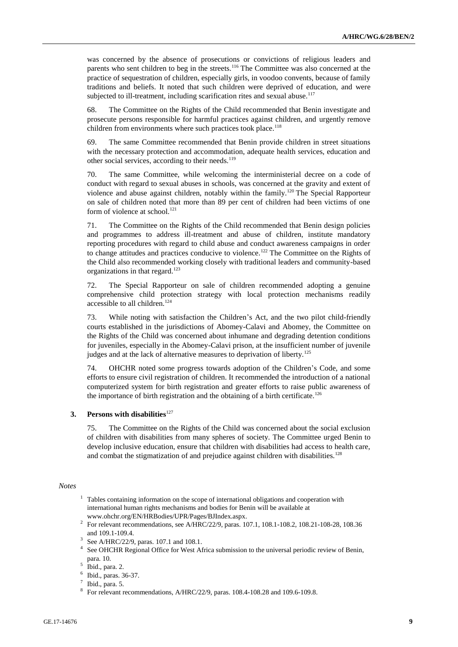was concerned by the absence of prosecutions or convictions of religious leaders and parents who sent children to beg in the streets.<sup>116</sup> The Committee was also concerned at the practice of sequestration of children, especially girls, in voodoo convents, because of family traditions and beliefs. It noted that such children were deprived of education, and were subjected to ill-treatment, including scarification rites and sexual abuse. $117$ 

68. The Committee on the Rights of the Child recommended that Benin investigate and prosecute persons responsible for harmful practices against children, and urgently remove children from environments where such practices took place.<sup>118</sup>

69. The same Committee recommended that Benin provide children in street situations with the necessary protection and accommodation, adequate health services, education and other social services, according to their needs.<sup>119</sup>

70. The same Committee, while welcoming the interministerial decree on a code of conduct with regard to sexual abuses in schools, was concerned at the gravity and extent of violence and abuse against children, notably within the family.<sup>120</sup> The Special Rapporteur on sale of children noted that more than 89 per cent of children had been victims of one form of violence at school.<sup>121</sup>

71. The Committee on the Rights of the Child recommended that Benin design policies and programmes to address ill-treatment and abuse of children, institute mandatory reporting procedures with regard to child abuse and conduct awareness campaigns in order to change attitudes and practices conducive to violence.<sup>122</sup> The Committee on the Rights of the Child also recommended working closely with traditional leaders and community-based organizations in that regard.<sup>123</sup>

72. The Special Rapporteur on sale of children recommended adopting a genuine comprehensive child protection strategy with local protection mechanisms readily accessible to all children.<sup>124</sup>

73. While noting with satisfaction the Children's Act, and the two pilot child-friendly courts established in the jurisdictions of Abomey-Calavi and Abomey, the Committee on the Rights of the Child was concerned about inhumane and degrading detention conditions for juveniles, especially in the Abomey-Calavi prison, at the insufficient number of juvenile judges and at the lack of alternative measures to deprivation of liberty.<sup>125</sup>

74. OHCHR noted some progress towards adoption of the Children's Code, and some efforts to ensure civil registration of children. It recommended the introduction of a national computerized system for birth registration and greater efforts to raise public awareness of the importance of birth registration and the obtaining of a birth certificate.<sup>126</sup>

### **3.** Persons with disabilities<sup>127</sup>

75. The Committee on the Rights of the Child was concerned about the social exclusion of children with disabilities from many spheres of society. The Committee urged Benin to develop inclusive education, ensure that children with disabilities had access to health care, and combat the stigmatization of and prejudice against children with disabilities.<sup>128</sup>

### *Notes*

- $1$  Tables containing information on the scope of international obligations and cooperation with international human rights mechanisms and bodies for Benin will be available at [www.ohchr.org/EN/HRBodies/UPR/Pages/BJIndex.aspx.](file:///C:/Users/Barrita/AppData/Local/Temp/notes688B0D/www.ohchr.org/EN/HRBodies/UPR/Pages/BJIndex.aspx)
- <sup>2</sup> For relevant recommendations, see A/HRC/22/9, paras. 107.1, 108.1-108.2, 108.21-108-28, 108.36 and 109.1-109.4.
- 3 See A/HRC/22/9, paras. 107.1 and 108.1.
- <sup>4</sup> See OHCHR Regional Office for West Africa submission to the universal periodic review of Benin, para. 10.

- 6 Ibid., paras. 36-37.
- $7$  Ibid., para. 5.

<sup>5</sup> Ibid., para. 2.

<sup>8</sup> For relevant recommendations, A/HRC/22/9, paras. 108.4-108.28 and 109.6-109.8.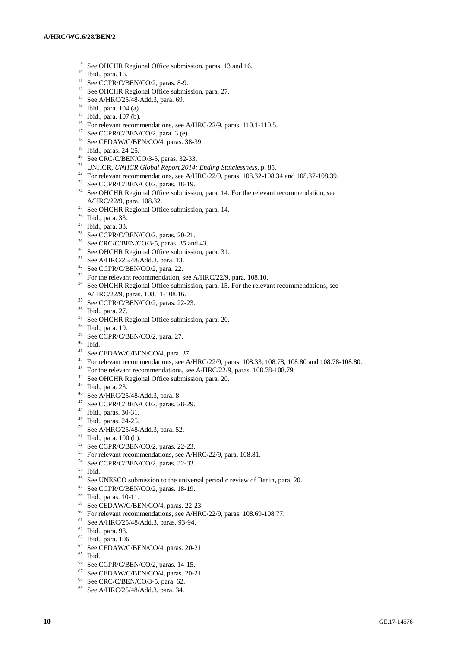- <sup>9</sup> See OHCHR Regional Office submission, paras. 13 and 16.
- <sup>10</sup> Ibid., para. 16.
- <sup>11</sup> See CCPR/C/BEN/CO/2, paras. 8-9.
- <sup>12</sup> See OHCHR Regional Office submission, para. 27.
- <sup>13</sup> See A/HRC/25/48/Add.3, para. 69.
- <sup>14</sup> Ibid., para. 104 (a).
- $15$  Ibid., para. 107 (b).
- <sup>16</sup> For relevant recommendations, see A/HRC/22/9, paras. 110.1-110.5.
- $17$  See CCPR/C/BEN/CO/2, para. 3 (e).
- <sup>18</sup> See CEDAW/C/BEN/CO/4, paras. 38-39.
- <sup>19</sup> Ibid., paras. 24-25.
- <sup>20</sup> See CRC/C/BEN/CO/3-5, paras. 32-33.
- <sup>21</sup> UNHCR, *UNHCR Global Report 2014: Ending Statelessness*, p. 85.
- <sup>22</sup> For relevant recommendations, see A/HRC/22/9, paras.  $108.32$ -108.34 and  $108.37$ -108.39.
- <sup>23</sup> See CCPR/C/BEN/CO/2, paras. 18-19.
- <sup>24</sup> See OHCHR Regional Office submission, para. 14. For the relevant recommendation, see A/HRC/22/9, para. 108.32.
- <sup>25</sup> See OHCHR Regional Office submission, para. 14.
- <sup>26</sup> Ibid., para. 33.
- <sup>27</sup> Ibid., para. 33.
- <sup>28</sup> See CCPR/C/BEN/CO/2, paras. 20-21.
- See CRC/C/BEN/CO/3-5, paras. 35 and 43.
- <sup>30</sup> See OHCHR Regional Office submission, para. 31.
- <sup>31</sup> See A/HRC/25/48/Add.3, para. 13.
- <sup>32</sup> See CCPR/C/BEN/CO/2, para. 22.
- <sup>33</sup> For the relevant recommendation, see A/HRC/22/9, para. 108.10.
- $34$  See OHCHR Regional Office submission, para. 15. For the relevant recommendations, see A/HRC/22/9, paras. 108.11-108.16.
- <sup>35</sup> See CCPR/C/BEN/CO/2, paras. 22-23.
- $\frac{36}{37}$  Ibid., para. 27.
- See OHCHR Regional Office submission, para. 20.
- <sup>38</sup> Ibid., para. 19.
- <sup>39</sup> See CCPR/C/BEN/CO/2, para. 27.
- $^{40}$  Ibid.
- <sup>41</sup> See CEDAW/C/BEN/CO/4, para. 37.
- <sup>42</sup> For relevant recommendations, see A/HRC/22/9, paras. 108.33, 108.78, 108.80 and 108.78-108.80.
- <sup>43</sup> For the relevant recommendations, see A/HRC/22/9, paras. 108.78-108.79.
- <sup>44</sup> See OHCHR Regional Office submission, para. 20.
- <sup>45</sup> Ibid., para. 23.
- <sup>46</sup> See A/HRC/25/48/Add.3, para. 8.
- <sup>47</sup> See CCPR/C/BEN/CO/2, paras. 28-29.
- <sup>48</sup> Ibid., paras. 30-31.
- <sup>49</sup> Ibid., paras. 24-25.
- <sup>50</sup> See A/HRC/25/48/Add.3, para. 52.
- $^{51}$  Ibid., para. 100 (b).<br> $^{52}$  See CCDP/C/PEN/
- See CCPR/C/BEN/CO/2, paras. 22-23.
- <sup>53</sup> For relevant recommendations, see A/HRC/22/9, para. 108.81.
- $^{54}$  See CCPR/C/BEN/CO/2, paras. 32-33.
- $rac{55}{56}$  Ibid.
- <sup>56</sup> See UNESCO submission to the universal periodic review of Benin, para. 20.<br><sup>57</sup> See CCDD/C/DEM/CO/2 serves 19, 19.
- $^{57}$  See CCPR/C/BEN/CO/2, paras. 18-19.
- $^{58}$  Ibid., paras. 10-11.
- See CEDAW/C/BEN/CO/4, paras. 22-23.
- <sup>60</sup> For relevant recommendations, see A/HRC/22/9, paras. 108.69-108.77.
- See A/HRC/25/48/Add.3, paras. 93-94.
- <sup>62</sup> Ibid., para. 98.
- <sup>63</sup> Ibid., para. 106.
- $^{64}$  See CEDAW/C/BEN/CO/4, paras. 20-21.
- $\begin{array}{c} 65 \\ 66 \end{array}$  Ibid.
- <sup>66</sup> See CCPR/C/BEN/CO/2, paras. 14-15.<br><sup>67</sup> See CED AW/C/BEN/CO/4, paras. 20.
- <sup>67</sup> See CEDAW/C/BEN/CO/4, paras. 20-21.
- See CRC/C/BEN/CO/3-5, para. 62.
- <sup>69</sup> See A/HRC/25/48/Add.3, para. 34.